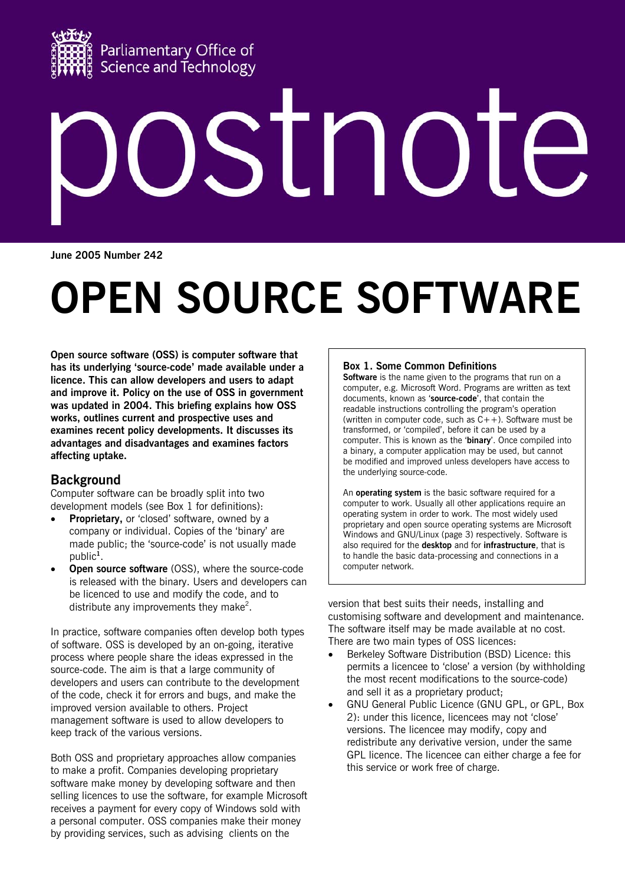

# $\sqrt{ }$  $\bigcup$  $\Box$ H

**June 2005 Number 242** 

# **OPEN SOURCE SOFTWARE**

**Open source software (OSS) is computer software that has its underlying 'source-code' made available under a licence. This can allow developers and users to adapt and improve it. Policy on the use of OSS in government was updated in 2004. This briefing explains how OSS works, outlines current and prospective uses and examines recent policy developments. It discusses its advantages and disadvantages and examines factors affecting uptake.** 

# **Background**

Computer software can be broadly split into two development models (see Box 1 for definitions):

- **Proprietary,** or 'closed' software, owned by a company or individual. Copies of the 'binary' are made public; the 'source-code' is not usually made public**<sup>1</sup>** .
- **Open source software** (OSS), where the source-code is released with the binary. Users and developers can be licenced to use and modify the code, and to distribute any improvements they make<sup>2</sup>.

In practice, software companies often develop both types of software. OSS is developed by an on-going, iterative process where people share the ideas expressed in the source-code. The aim is that a large community of developers and users can contribute to the development of the code, check it for errors and bugs, and make the improved version available to others. Project management software is used to allow developers to keep track of the various versions.

Both OSS and proprietary approaches allow companies to make a profit. Companies developing proprietary software make money by developing software and then selling licences to use the software, for example Microsoft receives a payment for every copy of Windows sold with a personal computer. OSS companies make their money by providing services, such as advising clients on the

# **Box 1. Some Common Definitions**

**Software** is the name given to the programs that run on a computer, e.g. Microsoft Word. Programs are written as text documents, known as '**source-code**', that contain the readable instructions controlling the program's operation (written in computer code, such as  $C++$ ). Software must be transformed, or 'compiled', before it can be used by a computer. This is known as the '**binary**'. Once compiled into a binary, a computer application may be used, but cannot be modified and improved unless developers have access to the underlying source-code.

An **operating system** is the basic software required for a computer to work. Usually all other applications require an operating system in order to work. The most widely used proprietary and open source operating systems are Microsoft Windows and GNU/Linux (page 3) respectively. Software is also required for the **desktop** and for **infrastructure**, that is to handle the basic data-processing and connections in a computer network.

version that best suits their needs, installing and customising software and development and maintenance. The software itself may be made available at no cost. There are two main types of OSS licences:

- Berkeley Software Distribution (BSD) Licence: this permits a licencee to 'close' a version (by withholding the most recent modifications to the source-code) and sell it as a proprietary product;
- GNU General Public Licence (GNU GPL, or GPL, Box 2): under this licence, licencees may not 'close' versions. The licencee may modify, copy and redistribute any derivative version, under the same GPL licence. The licencee can either charge a fee for this service or work free of charge.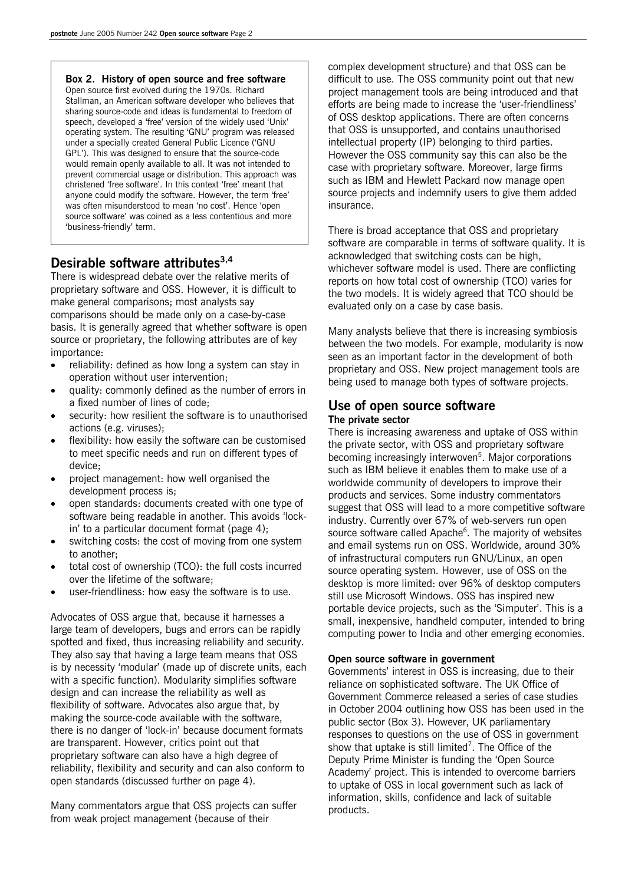#### **Box 2. History of open source and free software**

Open source first evolved during the 1970s. Richard Stallman, an American software developer who believes that sharing source-code and ideas is fundamental to freedom of speech, developed a 'free' version of the widely used 'Unix' operating system. The resulting 'GNU' program was released under a specially created General Public Licence ('GNU GPL'). This was designed to ensure that the source-code would remain openly available to all. It was not intended to prevent commercial usage or distribution. This approach was christened 'free software'. In this context 'free' meant that anyone could modify the software. However, the term 'free' was often misunderstood to mean 'no cost'. Hence 'open source software' was coined as a less contentious and more 'business-friendly' term.

# **Desirable software attributes3,4**

There is widespread debate over the relative merits of proprietary software and OSS. However, it is difficult to make general comparisons; most analysts say comparisons should be made only on a case-by-case basis. It is generally agreed that whether software is open source or proprietary, the following attributes are of key importance:

- reliability: defined as how long a system can stay in operation without user intervention;
- quality: commonly defined as the number of errors in a fixed number of lines of code;
- security: how resilient the software is to unauthorised actions (e.g. viruses);
- flexibility: how easily the software can be customised to meet specific needs and run on different types of device;
- project management: how well organised the development process is;
- open standards: documents created with one type of software being readable in another. This avoids 'lockin' to a particular document format (page 4);
- switching costs: the cost of moving from one system to another;
- total cost of ownership (TCO): the full costs incurred over the lifetime of the software;
- user-friendliness: how easy the software is to use.

Advocates of OSS argue that, because it harnesses a large team of developers, bugs and errors can be rapidly spotted and fixed, thus increasing reliability and security. They also say that having a large team means that OSS is by necessity 'modular' (made up of discrete units, each with a specific function). Modularity simplifies software design and can increase the reliability as well as flexibility of software. Advocates also argue that, by making the source-code available with the software, there is no danger of 'lock-in' because document formats are transparent. However, critics point out that proprietary software can also have a high degree of reliability, flexibility and security and can also conform to open standards (discussed further on page 4).

Many commentators argue that OSS projects can suffer from weak project management (because of their

complex development structure) and that OSS can be difficult to use. The OSS community point out that new project management tools are being introduced and that efforts are being made to increase the 'user-friendliness' of OSS desktop applications. There are often concerns that OSS is unsupported, and contains unauthorised intellectual property (IP) belonging to third parties. However the OSS community say this can also be the case with proprietary software. Moreover, large firms such as IBM and Hewlett Packard now manage open source projects and indemnify users to give them added insurance.

There is broad acceptance that OSS and proprietary software are comparable in terms of software quality. It is acknowledged that switching costs can be high, whichever software model is used. There are conflicting reports on how total cost of ownership (TCO) varies for the two models. It is widely agreed that TCO should be evaluated only on a case by case basis.

Many analysts believe that there is increasing symbiosis between the two models. For example, modularity is now seen as an important factor in the development of both proprietary and OSS. New project management tools are being used to manage both types of software projects.

### **Use of open source software The private sector**

There is increasing awareness and uptake of OSS within the private sector, with OSS and proprietary software becoming increasingly interwoven<sup>5</sup>. Major corporations such as IBM believe it enables them to make use of a worldwide community of developers to improve their products and services. Some industry commentators suggest that OSS will lead to a more competitive software industry. Currently over 67% of web-servers run open source software called Apache<sup>6</sup>. The majority of websites and email systems run on OSS. Worldwide, around 30% of infrastructural computers run GNU/Linux, an open source operating system. However, use of OSS on the desktop is more limited: over 96% of desktop computers still use Microsoft Windows. OSS has inspired new portable device projects, such as the 'Simputer'. This is a small, inexpensive, handheld computer, intended to bring computing power to India and other emerging economies.

#### **Open source software in government**

Governments' interest in OSS is increasing, due to their reliance on sophisticated software. The UK Office of Government Commerce released a series of case studies in October 2004 outlining how OSS has been used in the public sector (Box 3). However, UK parliamentary responses to questions on the use of OSS in government show that uptake is still limited<sup>7</sup>. The Office of the Deputy Prime Minister is funding the 'Open Source Academy' project. This is intended to overcome barriers to uptake of OSS in local government such as lack of information, skills, confidence and lack of suitable products.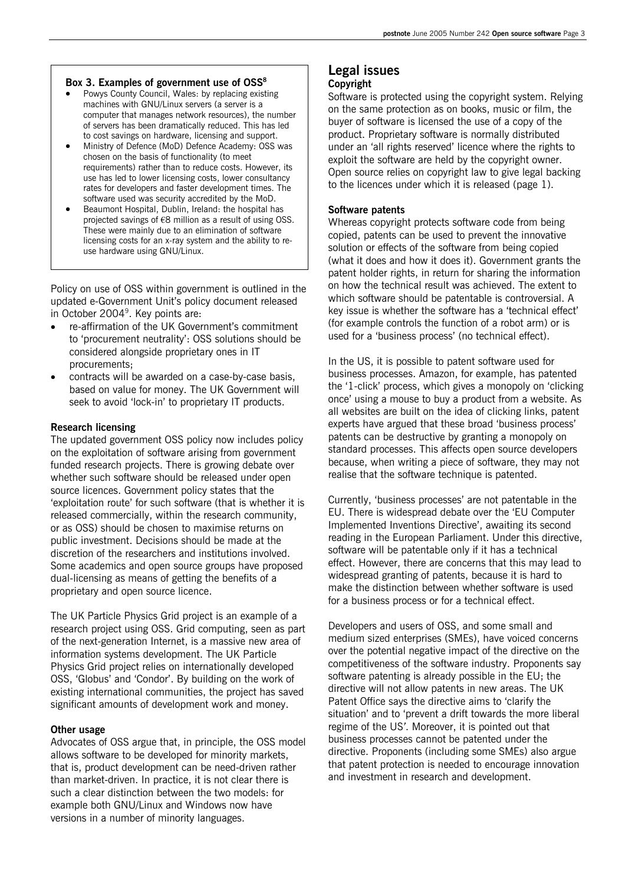#### Box 3. Examples of government use of OSS<sup>8</sup>

- Powys County Council, Wales: by replacing existing machines with GNU/Linux servers (a server is a computer that manages network resources), the number of servers has been dramatically reduced. This has led to cost savings on hardware, licensing and support.
- Ministry of Defence (MoD) Defence Academy: OSS was chosen on the basis of functionality (to meet requirements) rather than to reduce costs. However, its use has led to lower licensing costs, lower consultancy rates for developers and faster development times. The software used was security accredited by the MoD.
- Beaumont Hospital, Dublin, Ireland: the hospital has projected savings of €8 million as a result of using OSS. These were mainly due to an elimination of software licensing costs for an x-ray system and the ability to reuse hardware using GNU/Linux.

Policy on use of OSS within government is outlined in the updated e-Government Unit's policy document released in October 2004<sup>9</sup>. Key points are:

- re-affirmation of the UK Government's commitment to 'procurement neutrality': OSS solutions should be considered alongside proprietary ones in IT procurements;
- contracts will be awarded on a case-by-case basis, based on value for money. The UK Government will seek to avoid 'lock-in' to proprietary IT products.

#### **Research licensing**

The updated government OSS policy now includes policy on the exploitation of software arising from government funded research projects. There is growing debate over whether such software should be released under open source licences. Government policy states that the 'exploitation route' for such software (that is whether it is released commercially, within the research community, or as OSS) should be chosen to maximise returns on public investment. Decisions should be made at the discretion of the researchers and institutions involved. Some academics and open source groups have proposed dual-licensing as means of getting the benefits of a proprietary and open source licence.

The UK Particle Physics Grid project is an example of a research project using OSS. Grid computing, seen as part of the next-generation Internet, is a massive new area of information systems development. The UK Particle Physics Grid project relies on internationally developed OSS, 'Globus' and 'Condor'. By building on the work of existing international communities, the project has saved significant amounts of development work and money.

#### **Other usage**

Advocates of OSS argue that, in principle, the OSS model allows software to be developed for minority markets, that is, product development can be need-driven rather than market-driven. In practice, it is not clear there is such a clear distinction between the two models: for example both GNU/Linux and Windows now have versions in a number of minority languages.

# **Legal issues Copyright**

# Software is protected using the copyright system. Relying on the same protection as on books, music or film, the buyer of software is licensed the use of a copy of the product. Proprietary software is normally distributed under an 'all rights reserved' licence where the rights to exploit the software are held by the copyright owner. Open source relies on copyright law to give legal backing to the licences under which it is released (page 1).

#### **Software patents**

Whereas copyright protects software code from being copied, patents can be used to prevent the innovative solution or effects of the software from being copied (what it does and how it does it). Government grants the patent holder rights, in return for sharing the information on how the technical result was achieved. The extent to which software should be patentable is controversial. A key issue is whether the software has a 'technical effect' (for example controls the function of a robot arm) or is used for a 'business process' (no technical effect).

In the US, it is possible to patent software used for business processes. Amazon, for example, has patented the '1-click' process, which gives a monopoly on 'clicking once' using a mouse to buy a product from a website. As all websites are built on the idea of clicking links, patent experts have argued that these broad 'business process' patents can be destructive by granting a monopoly on standard processes. This affects open source developers because, when writing a piece of software, they may not realise that the software technique is patented.

Currently, 'business processes' are not patentable in the EU. There is widespread debate over the 'EU Computer Implemented Inventions Directive', awaiting its second reading in the European Parliament. Under this directive, software will be patentable only if it has a technical effect. However, there are concerns that this may lead to widespread granting of patents, because it is hard to make the distinction between whether software is used for a business process or for a technical effect.

Developers and users of OSS, and some small and medium sized enterprises (SMEs), have voiced concerns over the potential negative impact of the directive on the competitiveness of the software industry. Proponents say software patenting is already possible in the EU; the directive will not allow patents in new areas. The UK Patent Office says the directive aims to 'clarify the situation' and to 'prevent a drift towards the more liberal regime of the US*'*. Moreover, it is pointed out that business processes cannot be patented under the directive. Proponents (including some SMEs) also argue that patent protection is needed to encourage innovation and investment in research and development.